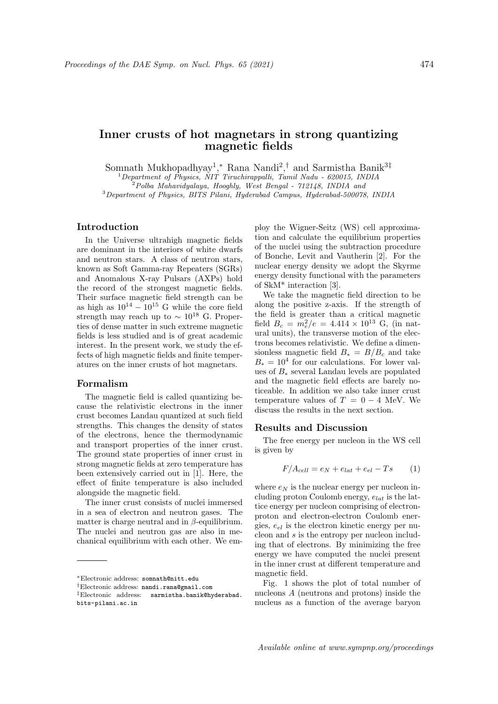# Inner crusts of hot magnetars in strong quantizing magnetic fields

Somnath Mukhopadhyay<sup>1</sup>,\* Rana Nandi<sup>2</sup>,<sup>†</sup> and Sarmistha Banik<sup>3‡</sup>

 $1$ Department of Physics, NIT Tiruchirappalli, Tamil Nadu - 620015, INDIA  $2^2$ Polba Mahavidyalaya, Hooghly, West Bengal -  $712148$ , INDIA and

<sup>3</sup>Department of Physics, BITS Pilani, Hyderabad Campus, Hyderabad-500078, INDIA

# Introduction

In the Universe ultrahigh magnetic fields are dominant in the interiors of white dwarfs and neutron stars. A class of neutron stars, known as Soft Gamma-ray Repeaters (SGRs) and Anomalous X-ray Pulsars (AXPs) hold the record of the strongest magnetic fields. Their surface magnetic field strength can be as high as  $10^{14} - 10^{15}$  G while the core field strength may reach up to  $\sim 10^{18}$  G. Properties of dense matter in such extreme magnetic fields is less studied and is of great academic interest. In the present work, we study the effects of high magnetic fields and finite temperatures on the inner crusts of hot magnetars.

## Formalism

The magnetic field is called quantizing because the relativistic electrons in the inner crust becomes Landau quantized at such field strengths. This changes the density of states of the electrons, hence the thermodynamic and transport properties of the inner crust. The ground state properties of inner crust in strong magnetic fields at zero temperature has been extensively carried out in [1]. Here, the effect of finite temperature is also included alongside the magnetic field.

The inner crust consists of nuclei immersed in a sea of electron and neutron gases. The matter is charge neutral and in  $\beta$ -equilibrium. The nuclei and neutron gas are also in mechanical equilibrium with each other. We employ the Wigner-Seitz (WS) cell approximation and calculate the equilibrium properties of the nuclei using the subtraction procedure of Bonche, Levit and Vautherin [2]. For the nuclear energy density we adopt the Skyrme energy density functional with the parameters of SkM\* interaction [3].

We take the magnetic field direction to be along the positive z-axis. If the strength of the field is greater than a critical magnetic field  $B_c = m_e^2/e = 4.414 \times 10^{13}$  G, (in natural units), the transverse motion of the electrons becomes relativistic. We define a dimensionless magnetic field  $B_* = B/B_c$  and take  $B_* = 10^4$  for our calculations. For lower values of B<sup>∗</sup> several Landau levels are populated and the magnetic field effects are barely noticeable. In addition we also take inner crust temperature values of  $T = 0 - 4$  MeV. We discuss the results in the next section.

# Results and Discussion

The free energy per nucleon in the WS cell is given by

$$
F/A_{cell} = e_N + e_{lat} + e_{el} - Ts \tag{1}
$$

where  $e_N$  is the nuclear energy per nucleon including proton Coulomb energy,  $e_{lat}$  is the lattice energy per nucleon comprising of electronproton and electron-electron Coulomb energies,  $e_{el}$  is the electron kinetic energy per nucleon and s is the entropy per nucleon including that of electrons. By minimizing the free energy we have computed the nuclei present in the inner crust at different temperature and magnetic field.

Fig. 1 shows the plot of total number of nucleons A (neutrons and protons) inside the nucleus as a function of the average baryon

<sup>∗</sup>Electronic address: somnath@nitt.edu

<sup>†</sup>Electronic address: nandi.rana@gmail.com

<sup>‡</sup>Electronic address: sarmistha.banik@hyderabad. bits-pilani.ac.in